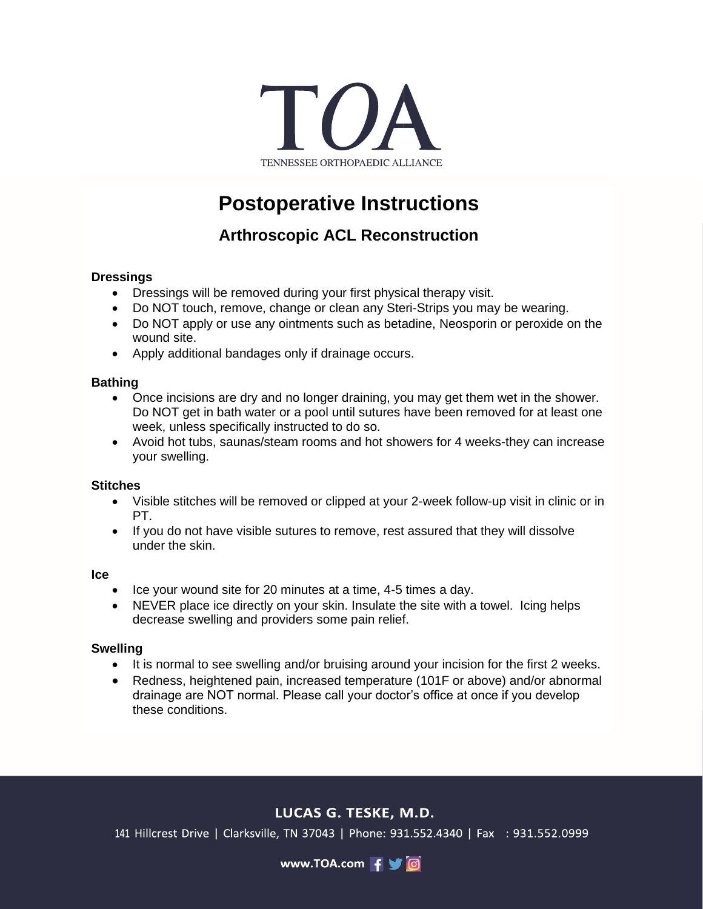

# **Postoperative Instructions**

# **Arthroscopic ACL Reconstruction**

### **Dressings**

- Dressings will be removed during your first physical therapy visit.
- Do NOT touch, remove, change or clean any Steri-Strips you may be wearing.
- Do NOT apply or use any ointments such as betadine, Neosporin or peroxide on the wound site.
- Apply additional bandages only if drainage occurs.

#### **Bathing**

- Once incisions are dry and no longer draining, you may get them wet in the shower. Do NOT get in bath water or a pool until sutures have been removed for at least one week, unless specifically instructed to do so.
- Avoid hot tubs, saunas/steam rooms and hot showers for 4 weeks-they can increase your swelling.

#### **Stitches**

- Visible stitches will be removed or clipped at your 2-week follow-up visit in clinic or in PT.
- If you do not have visible sutures to remove, rest assured that they will dissolve under the skin.

#### **Ice**

- Ice your wound site for 20 minutes at a time, 4-5 times a day.
- NEVER place ice directly on your skin. Insulate the site with a towel. Icing helps decrease swelling and providers some pain relief.

#### **Swelling**

- It is normal to see swelling and/or bruising around your incision for the first 2 weeks.
- Redness, heightened pain, increased temperature (101F or above) and/or abnormal drainage are NOT normal. Please call your doctor's office at once if you develop these conditions.

# LUCAS G. TESKE, M.D.

141 Hillcrest Drive | Clarksville, TN 37043 | Phone: 931.552.4340 | Fax : 931.552.0999